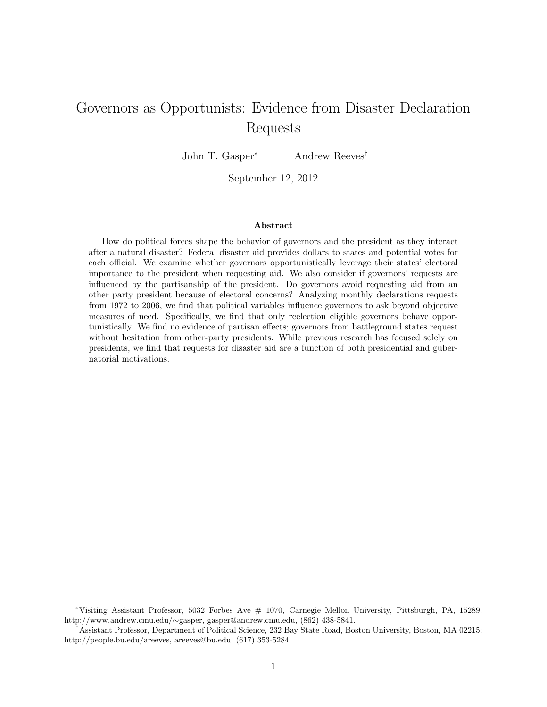# Governors as Opportunists: Evidence from Disaster Declaration Requests

John T. Gasper<sup>∗</sup> Andrew Reeves†

September 12, 2012

#### Abstract

How do political forces shape the behavior of governors and the president as they interact after a natural disaster? Federal disaster aid provides dollars to states and potential votes for each official. We examine whether governors opportunistically leverage their states' electoral importance to the president when requesting aid. We also consider if governors' requests are influenced by the partisanship of the president. Do governors avoid requesting aid from an other party president because of electoral concerns? Analyzing monthly declarations requests from 1972 to 2006, we find that political variables influence governors to ask beyond objective measures of need. Specifically, we find that only reelection eligible governors behave opportunistically. We find no evidence of partisan effects; governors from battleground states request without hesitation from other-party presidents. While previous research has focused solely on presidents, we find that requests for disaster aid are a function of both presidential and gubernatorial motivations.

<sup>∗</sup>Visiting Assistant Professor, 5032 Forbes Ave # 1070, Carnegie Mellon University, Pittsburgh, PA, 15289. http://www.andrew.cmu.edu/∼gasper, gasper@andrew.cmu.edu, (862) 438-5841.

<sup>†</sup>Assistant Professor, Department of Political Science, 232 Bay State Road, Boston University, Boston, MA 02215; http://people.bu.edu/areeves, areeves@bu.edu, (617) 353-5284.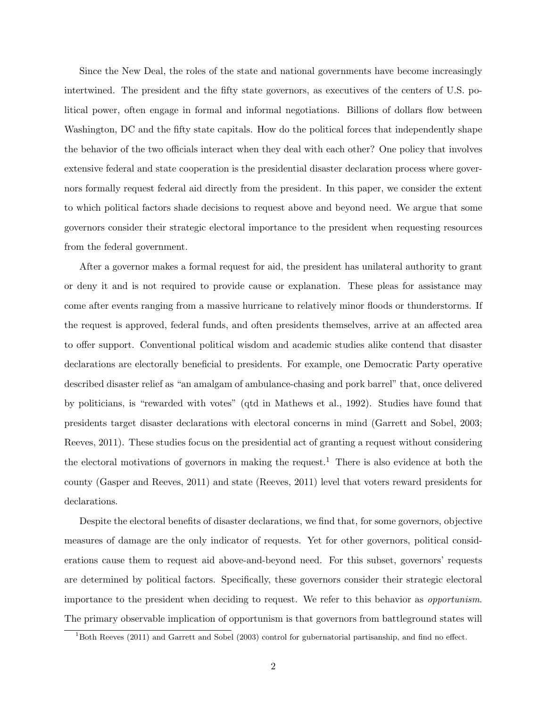Since the New Deal, the roles of the state and national governments have become increasingly intertwined. The president and the fifty state governors, as executives of the centers of U.S. political power, often engage in formal and informal negotiations. Billions of dollars flow between Washington, DC and the fifty state capitals. How do the political forces that independently shape the behavior of the two officials interact when they deal with each other? One policy that involves extensive federal and state cooperation is the presidential disaster declaration process where governors formally request federal aid directly from the president. In this paper, we consider the extent to which political factors shade decisions to request above and beyond need. We argue that some governors consider their strategic electoral importance to the president when requesting resources from the federal government.

After a governor makes a formal request for aid, the president has unilateral authority to grant or deny it and is not required to provide cause or explanation. These pleas for assistance may come after events ranging from a massive hurricane to relatively minor floods or thunderstorms. If the request is approved, federal funds, and often presidents themselves, arrive at an affected area to offer support. Conventional political wisdom and academic studies alike contend that disaster declarations are electorally beneficial to presidents. For example, one Democratic Party operative described disaster relief as "an amalgam of ambulance-chasing and pork barrel" that, once delivered by politicians, is "rewarded with votes" (qtd in Mathews et al., 1992). Studies have found that presidents target disaster declarations with electoral concerns in mind (Garrett and Sobel, 2003; Reeves, 2011). These studies focus on the presidential act of granting a request without considering the electoral motivations of governors in making the request.<sup>1</sup> There is also evidence at both the county (Gasper and Reeves, 2011) and state (Reeves, 2011) level that voters reward presidents for declarations.

Despite the electoral benefits of disaster declarations, we find that, for some governors, objective measures of damage are the only indicator of requests. Yet for other governors, political considerations cause them to request aid above-and-beyond need. For this subset, governors' requests are determined by political factors. Specifically, these governors consider their strategic electoral importance to the president when deciding to request. We refer to this behavior as opportunism. The primary observable implication of opportunism is that governors from battleground states will

<sup>1</sup>Both Reeves (2011) and Garrett and Sobel (2003) control for gubernatorial partisanship, and find no effect.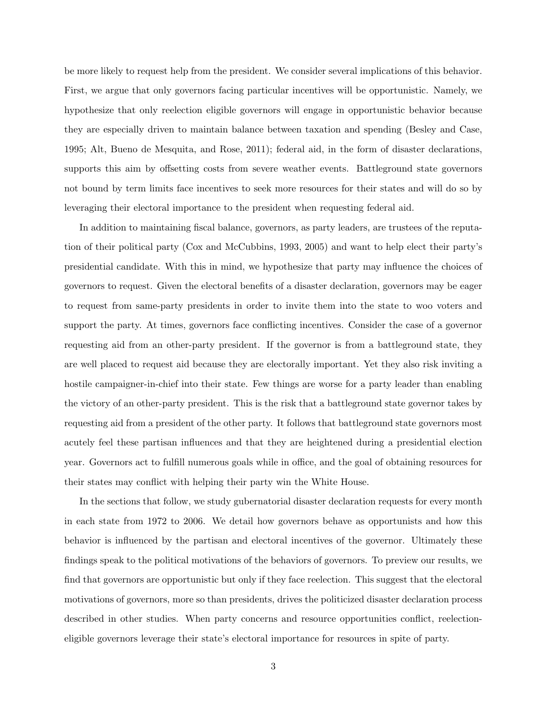be more likely to request help from the president. We consider several implications of this behavior. First, we argue that only governors facing particular incentives will be opportunistic. Namely, we hypothesize that only reelection eligible governors will engage in opportunistic behavior because they are especially driven to maintain balance between taxation and spending (Besley and Case, 1995; Alt, Bueno de Mesquita, and Rose, 2011); federal aid, in the form of disaster declarations, supports this aim by offsetting costs from severe weather events. Battleground state governors not bound by term limits face incentives to seek more resources for their states and will do so by leveraging their electoral importance to the president when requesting federal aid.

In addition to maintaining fiscal balance, governors, as party leaders, are trustees of the reputation of their political party (Cox and McCubbins, 1993, 2005) and want to help elect their party's presidential candidate. With this in mind, we hypothesize that party may influence the choices of governors to request. Given the electoral benefits of a disaster declaration, governors may be eager to request from same-party presidents in order to invite them into the state to woo voters and support the party. At times, governors face conflicting incentives. Consider the case of a governor requesting aid from an other-party president. If the governor is from a battleground state, they are well placed to request aid because they are electorally important. Yet they also risk inviting a hostile campaigner-in-chief into their state. Few things are worse for a party leader than enabling the victory of an other-party president. This is the risk that a battleground state governor takes by requesting aid from a president of the other party. It follows that battleground state governors most acutely feel these partisan influences and that they are heightened during a presidential election year. Governors act to fulfill numerous goals while in office, and the goal of obtaining resources for their states may conflict with helping their party win the White House.

In the sections that follow, we study gubernatorial disaster declaration requests for every month in each state from 1972 to 2006. We detail how governors behave as opportunists and how this behavior is influenced by the partisan and electoral incentives of the governor. Ultimately these findings speak to the political motivations of the behaviors of governors. To preview our results, we find that governors are opportunistic but only if they face reelection. This suggest that the electoral motivations of governors, more so than presidents, drives the politicized disaster declaration process described in other studies. When party concerns and resource opportunities conflict, reelectioneligible governors leverage their state's electoral importance for resources in spite of party.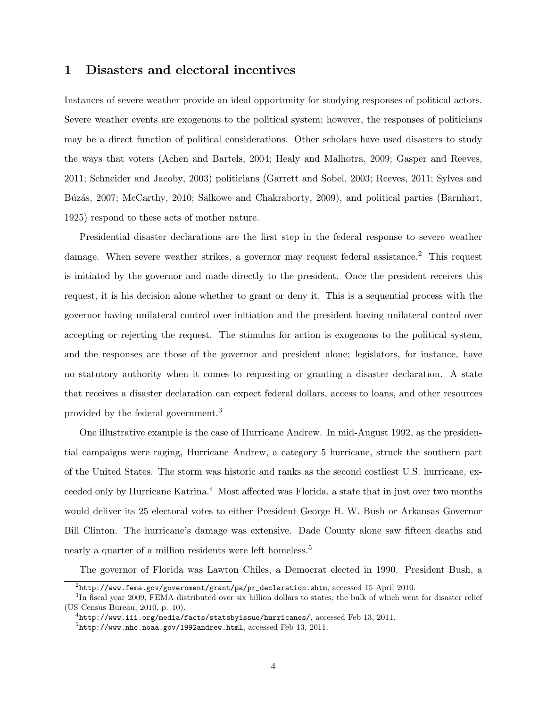## 1 Disasters and electoral incentives

Instances of severe weather provide an ideal opportunity for studying responses of political actors. Severe weather events are exogenous to the political system; however, the responses of politicians may be a direct function of political considerations. Other scholars have used disasters to study the ways that voters (Achen and Bartels, 2004; Healy and Malhotra, 2009; Gasper and Reeves, 2011; Schneider and Jacoby, 2003) politicians (Garrett and Sobel, 2003; Reeves, 2011; Sylves and Búzás, 2007; McCarthy, 2010; Salkowe and Chakraborty, 2009), and political parties (Barnhart, 1925) respond to these acts of mother nature.

Presidential disaster declarations are the first step in the federal response to severe weather damage. When severe weather strikes, a governor may request federal assistance.<sup>2</sup> This request is initiated by the governor and made directly to the president. Once the president receives this request, it is his decision alone whether to grant or deny it. This is a sequential process with the governor having unilateral control over initiation and the president having unilateral control over accepting or rejecting the request. The stimulus for action is exogenous to the political system, and the responses are those of the governor and president alone; legislators, for instance, have no statutory authority when it comes to requesting or granting a disaster declaration. A state that receives a disaster declaration can expect federal dollars, access to loans, and other resources provided by the federal government.<sup>3</sup>

One illustrative example is the case of Hurricane Andrew. In mid-August 1992, as the presidential campaigns were raging, Hurricane Andrew, a category 5 hurricane, struck the southern part of the United States. The storm was historic and ranks as the second costliest U.S. hurricane, exceeded only by Hurricane Katrina.<sup>4</sup> Most affected was Florida, a state that in just over two months would deliver its 25 electoral votes to either President George H. W. Bush or Arkansas Governor Bill Clinton. The hurricane's damage was extensive. Dade County alone saw fifteen deaths and nearly a quarter of a million residents were left homeless.<sup>5</sup>

The governor of Florida was Lawton Chiles, a Democrat elected in 1990. President Bush, a

 $^2$ http://www.fema.gov/government/grant/pa/pr\_declaration.shtm,  $\arccos$ essed 15 April 2010.

<sup>&</sup>lt;sup>3</sup>In fiscal year 2009, FEMA distributed over six billion dollars to states, the bulk of which went for disaster relief (US Census Bureau, 2010, p. 10).

 $^4$ http://www.iii.org/media/facts/statsbyissue/hurricanes/,  $\arccos$ ed Feb 13, 2011.

 $^{5}$ http://www.nhc.noaa.gov/1992andrew.html,  $\arccos$ essed Feb 13, 2011.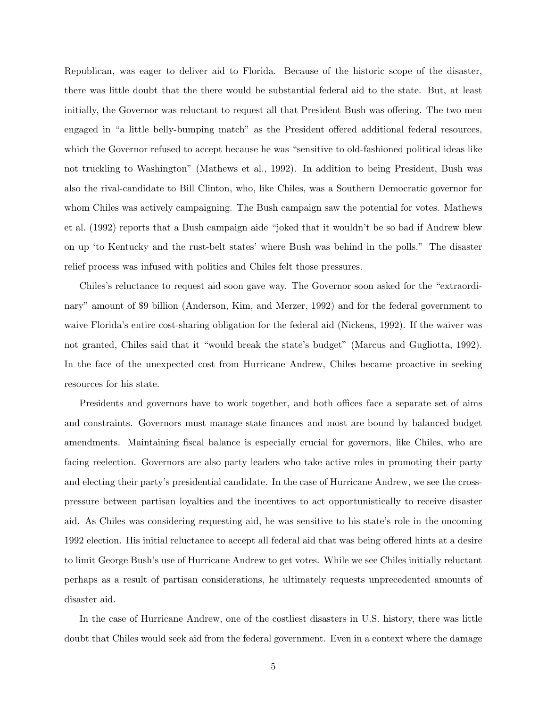Republican, was eager to deliver aid to Florida. Because of the historic scope of the disaster, there was little doubt that the there would be substantial federal aid to the state. But, at least initially, the Governor was reluctant to request all that President Bush was offering. The two men engaged in "a little belly-bumping match" as the President offered additional federal resources, which the Governor refused to accept because he was "sensitive to old-fashioned political ideas like not truckling to Washington" (Mathews et al., 1992). In addition to being President, Bush was also the rival-candidate to Bill Clinton, who, like Chiles, was a Southern Democratic governor for whom Chiles was actively campaigning. The Bush campaign saw the potential for votes. Mathews et al. (1992) reports that a Bush campaign aide "joked that it wouldn't be so bad if Andrew blew on up 'to Kentucky and the rust-belt states' where Bush was behind in the polls." The disaster relief process was infused with politics and Chiles felt those pressures.

Chiles's reluctance to request aid soon gave way. The Governor soon asked for the "extraordinary" amount of \$9 billion (Anderson, Kim, and Merzer, 1992) and for the federal government to waive Florida's entire cost-sharing obligation for the federal aid (Nickens, 1992). If the waiver was not granted, Chiles said that it "would break the state's budget" (Marcus and Gugliotta, 1992). In the face of the unexpected cost from Hurricane Andrew, Chiles became proactive in seeking resources for his state.

Presidents and governors have to work together, and both offices face a separate set of aims and constraints. Governors must manage state finances and most are bound by balanced budget amendments. Maintaining fiscal balance is especially crucial for governors, like Chiles, who are facing reelection. Governors are also party leaders who take active roles in promoting their party and electing their party's presidential candidate. In the case of Hurricane Andrew, we see the crosspressure between partisan loyalties and the incentives to act opportunistically to receive disaster aid. As Chiles was considering requesting aid, he was sensitive to his state's role in the oncoming 1992 election. His initial reluctance to accept all federal aid that was being offered hints at a desire to limit George Bush's use of Hurricane Andrew to get votes. While we see Chiles initially reluctant perhaps as a result of partisan considerations, he ultimately requests unprecedented amounts of disaster aid.

In the case of Hurricane Andrew, one of the costliest disasters in U.S. history, there was little doubt that Chiles would seek aid from the federal government. Even in a context where the damage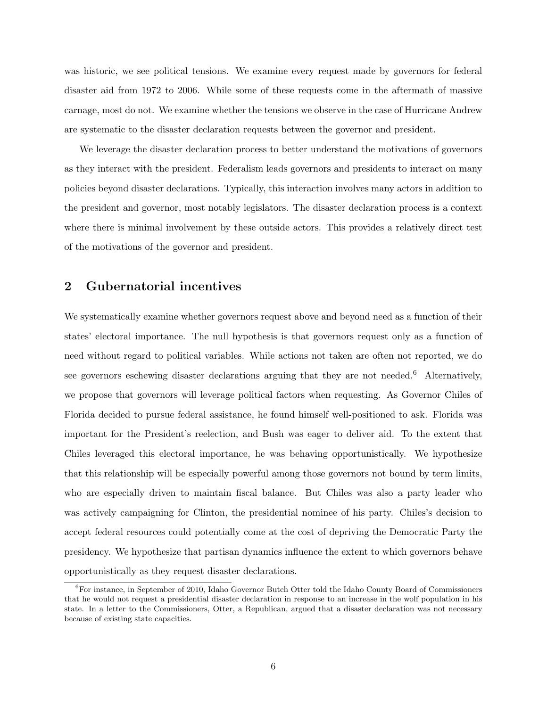was historic, we see political tensions. We examine every request made by governors for federal disaster aid from 1972 to 2006. While some of these requests come in the aftermath of massive carnage, most do not. We examine whether the tensions we observe in the case of Hurricane Andrew are systematic to the disaster declaration requests between the governor and president.

We leverage the disaster declaration process to better understand the motivations of governors as they interact with the president. Federalism leads governors and presidents to interact on many policies beyond disaster declarations. Typically, this interaction involves many actors in addition to the president and governor, most notably legislators. The disaster declaration process is a context where there is minimal involvement by these outside actors. This provides a relatively direct test of the motivations of the governor and president.

## 2 Gubernatorial incentives

We systematically examine whether governors request above and beyond need as a function of their states' electoral importance. The null hypothesis is that governors request only as a function of need without regard to political variables. While actions not taken are often not reported, we do see governors eschewing disaster declarations arguing that they are not needed.<sup>6</sup> Alternatively, we propose that governors will leverage political factors when requesting. As Governor Chiles of Florida decided to pursue federal assistance, he found himself well-positioned to ask. Florida was important for the President's reelection, and Bush was eager to deliver aid. To the extent that Chiles leveraged this electoral importance, he was behaving opportunistically. We hypothesize that this relationship will be especially powerful among those governors not bound by term limits, who are especially driven to maintain fiscal balance. But Chiles was also a party leader who was actively campaigning for Clinton, the presidential nominee of his party. Chiles's decision to accept federal resources could potentially come at the cost of depriving the Democratic Party the presidency. We hypothesize that partisan dynamics influence the extent to which governors behave opportunistically as they request disaster declarations.

 ${}^{6}$ For instance, in September of 2010, Idaho Governor Butch Otter told the Idaho County Board of Commissioners that he would not request a presidential disaster declaration in response to an increase in the wolf population in his state. In a letter to the Commissioners, Otter, a Republican, argued that a disaster declaration was not necessary because of existing state capacities.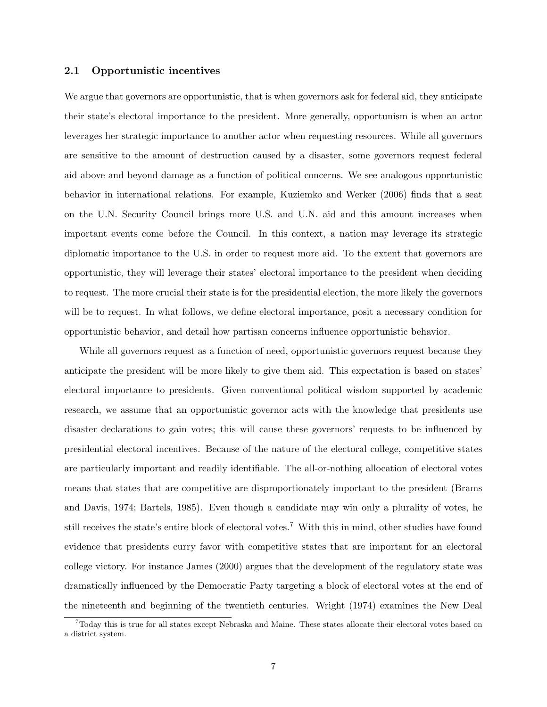#### 2.1 Opportunistic incentives

We argue that governors are opportunistic, that is when governors ask for federal aid, they anticipate their state's electoral importance to the president. More generally, opportunism is when an actor leverages her strategic importance to another actor when requesting resources. While all governors are sensitive to the amount of destruction caused by a disaster, some governors request federal aid above and beyond damage as a function of political concerns. We see analogous opportunistic behavior in international relations. For example, Kuziemko and Werker (2006) finds that a seat on the U.N. Security Council brings more U.S. and U.N. aid and this amount increases when important events come before the Council. In this context, a nation may leverage its strategic diplomatic importance to the U.S. in order to request more aid. To the extent that governors are opportunistic, they will leverage their states' electoral importance to the president when deciding to request. The more crucial their state is for the presidential election, the more likely the governors will be to request. In what follows, we define electoral importance, posit a necessary condition for opportunistic behavior, and detail how partisan concerns influence opportunistic behavior.

While all governors request as a function of need, opportunistic governors request because they anticipate the president will be more likely to give them aid. This expectation is based on states' electoral importance to presidents. Given conventional political wisdom supported by academic research, we assume that an opportunistic governor acts with the knowledge that presidents use disaster declarations to gain votes; this will cause these governors' requests to be influenced by presidential electoral incentives. Because of the nature of the electoral college, competitive states are particularly important and readily identifiable. The all-or-nothing allocation of electoral votes means that states that are competitive are disproportionately important to the president (Brams and Davis, 1974; Bartels, 1985). Even though a candidate may win only a plurality of votes, he still receives the state's entire block of electoral votes.<sup>7</sup> With this in mind, other studies have found evidence that presidents curry favor with competitive states that are important for an electoral college victory. For instance James (2000) argues that the development of the regulatory state was dramatically influenced by the Democratic Party targeting a block of electoral votes at the end of the nineteenth and beginning of the twentieth centuries. Wright (1974) examines the New Deal

<sup>7</sup>Today this is true for all states except Nebraska and Maine. These states allocate their electoral votes based on a district system.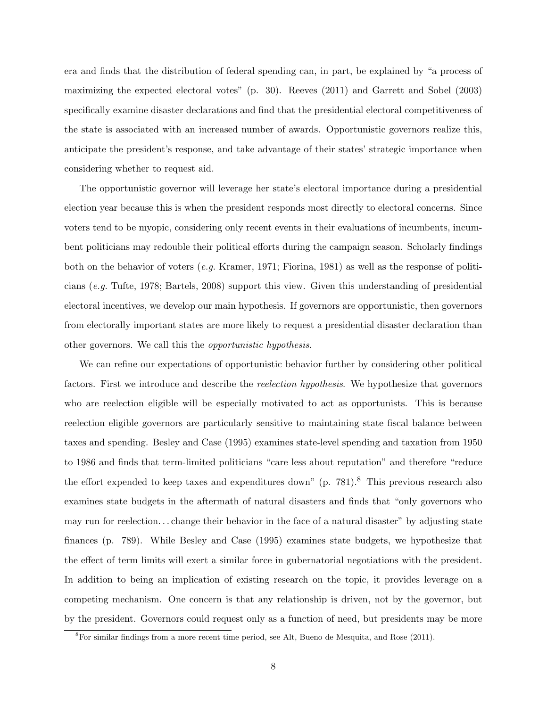era and finds that the distribution of federal spending can, in part, be explained by "a process of maximizing the expected electoral votes" (p. 30). Reeves (2011) and Garrett and Sobel (2003) specifically examine disaster declarations and find that the presidential electoral competitiveness of the state is associated with an increased number of awards. Opportunistic governors realize this, anticipate the president's response, and take advantage of their states' strategic importance when considering whether to request aid.

The opportunistic governor will leverage her state's electoral importance during a presidential election year because this is when the president responds most directly to electoral concerns. Since voters tend to be myopic, considering only recent events in their evaluations of incumbents, incumbent politicians may redouble their political efforts during the campaign season. Scholarly findings both on the behavior of voters (e.g. Kramer, 1971; Fiorina, 1981) as well as the response of politicians (e.g. Tufte, 1978; Bartels, 2008) support this view. Given this understanding of presidential electoral incentives, we develop our main hypothesis. If governors are opportunistic, then governors from electorally important states are more likely to request a presidential disaster declaration than other governors. We call this the opportunistic hypothesis.

We can refine our expectations of opportunistic behavior further by considering other political factors. First we introduce and describe the reelection hypothesis. We hypothesize that governors who are reelection eligible will be especially motivated to act as opportunists. This is because reelection eligible governors are particularly sensitive to maintaining state fiscal balance between taxes and spending. Besley and Case (1995) examines state-level spending and taxation from 1950 to 1986 and finds that term-limited politicians "care less about reputation" and therefore "reduce the effort expended to keep taxes and expenditures down" (p. 781).<sup>8</sup> This previous research also examines state budgets in the aftermath of natural disasters and finds that "only governors who may run for reelection. . . change their behavior in the face of a natural disaster" by adjusting state finances (p. 789). While Besley and Case (1995) examines state budgets, we hypothesize that the effect of term limits will exert a similar force in gubernatorial negotiations with the president. In addition to being an implication of existing research on the topic, it provides leverage on a competing mechanism. One concern is that any relationship is driven, not by the governor, but by the president. Governors could request only as a function of need, but presidents may be more

<sup>8</sup>For similar findings from a more recent time period, see Alt, Bueno de Mesquita, and Rose (2011).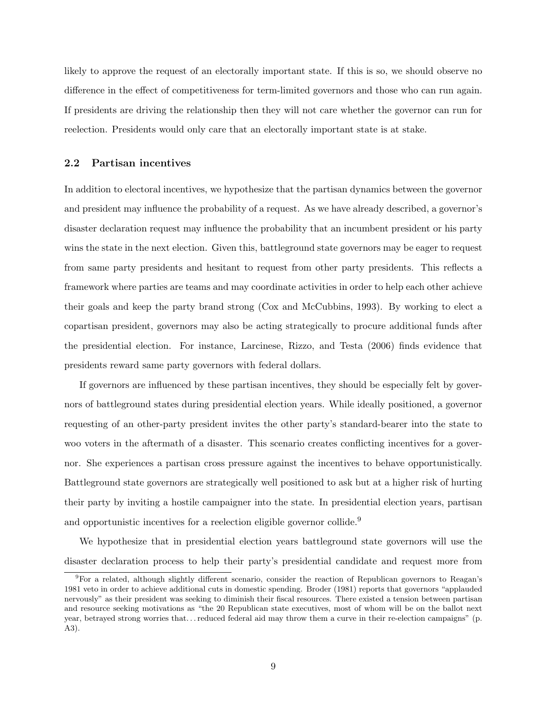likely to approve the request of an electorally important state. If this is so, we should observe no difference in the effect of competitiveness for term-limited governors and those who can run again. If presidents are driving the relationship then they will not care whether the governor can run for reelection. Presidents would only care that an electorally important state is at stake.

#### 2.2 Partisan incentives

In addition to electoral incentives, we hypothesize that the partisan dynamics between the governor and president may influence the probability of a request. As we have already described, a governor's disaster declaration request may influence the probability that an incumbent president or his party wins the state in the next election. Given this, battleground state governors may be eager to request from same party presidents and hesitant to request from other party presidents. This reflects a framework where parties are teams and may coordinate activities in order to help each other achieve their goals and keep the party brand strong (Cox and McCubbins, 1993). By working to elect a copartisan president, governors may also be acting strategically to procure additional funds after the presidential election. For instance, Larcinese, Rizzo, and Testa (2006) finds evidence that presidents reward same party governors with federal dollars.

If governors are influenced by these partisan incentives, they should be especially felt by governors of battleground states during presidential election years. While ideally positioned, a governor requesting of an other-party president invites the other party's standard-bearer into the state to woo voters in the aftermath of a disaster. This scenario creates conflicting incentives for a governor. She experiences a partisan cross pressure against the incentives to behave opportunistically. Battleground state governors are strategically well positioned to ask but at a higher risk of hurting their party by inviting a hostile campaigner into the state. In presidential election years, partisan and opportunistic incentives for a reelection eligible governor collide.<sup>9</sup>

We hypothesize that in presidential election years battleground state governors will use the disaster declaration process to help their party's presidential candidate and request more from

<sup>9</sup>For a related, although slightly different scenario, consider the reaction of Republican governors to Reagan's 1981 veto in order to achieve additional cuts in domestic spending. Broder (1981) reports that governors "applauded nervously" as their president was seeking to diminish their fiscal resources. There existed a tension between partisan and resource seeking motivations as "the 20 Republican state executives, most of whom will be on the ballot next year, betrayed strong worries that. . . reduced federal aid may throw them a curve in their re-election campaigns" (p. A3).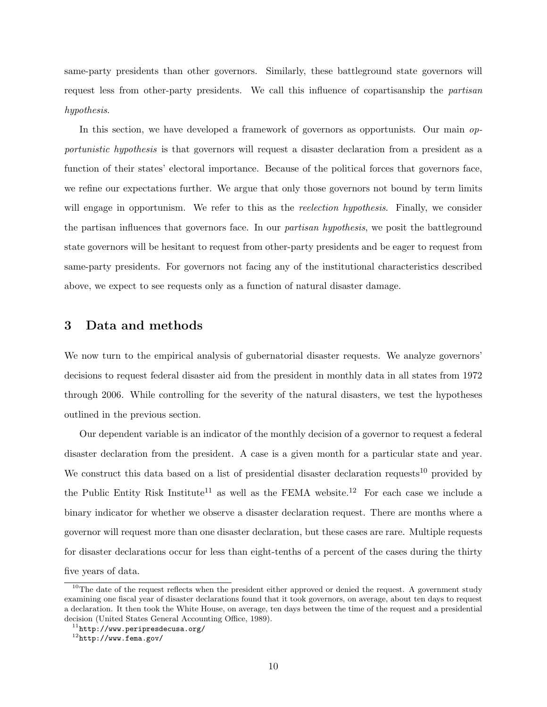same-party presidents than other governors. Similarly, these battleground state governors will request less from other-party presidents. We call this influence of copartisanship the partisan hypothesis.

In this section, we have developed a framework of governors as opportunists. Our main *op*portunistic hypothesis is that governors will request a disaster declaration from a president as a function of their states' electoral importance. Because of the political forces that governors face, we refine our expectations further. We argue that only those governors not bound by term limits will engage in opportunism. We refer to this as the *reelection hypothesis*. Finally, we consider the partisan influences that governors face. In our partisan hypothesis, we posit the battleground state governors will be hesitant to request from other-party presidents and be eager to request from same-party presidents. For governors not facing any of the institutional characteristics described above, we expect to see requests only as a function of natural disaster damage.

## 3 Data and methods

We now turn to the empirical analysis of gubernatorial disaster requests. We analyze governors' decisions to request federal disaster aid from the president in monthly data in all states from 1972 through 2006. While controlling for the severity of the natural disasters, we test the hypotheses outlined in the previous section.

Our dependent variable is an indicator of the monthly decision of a governor to request a federal disaster declaration from the president. A case is a given month for a particular state and year. We construct this data based on a list of presidential disaster declaration requests<sup>10</sup> provided by the Public Entity Risk Institute<sup>11</sup> as well as the FEMA website.<sup>12</sup> For each case we include a binary indicator for whether we observe a disaster declaration request. There are months where a governor will request more than one disaster declaration, but these cases are rare. Multiple requests for disaster declarations occur for less than eight-tenths of a percent of the cases during the thirty five years of data.

 $10$ The date of the request reflects when the president either approved or denied the request. A government study examining one fiscal year of disaster declarations found that it took governors, on average, about ten days to request a declaration. It then took the White House, on average, ten days between the time of the request and a presidential decision (United States General Accounting Office, 1989).

 $11$ http://www.peripresdecusa.org/

 $12$ http://www.fema.gov/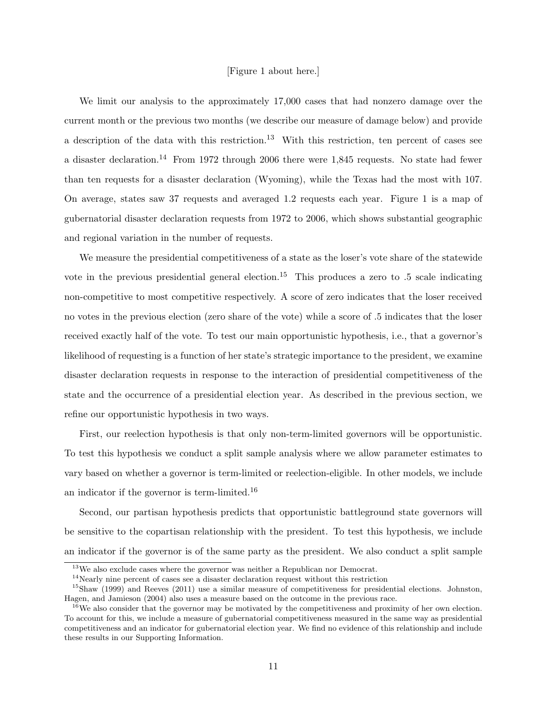#### [Figure 1 about here.]

We limit our analysis to the approximately 17,000 cases that had nonzero damage over the current month or the previous two months (we describe our measure of damage below) and provide a description of the data with this restriction.<sup>13</sup> With this restriction, ten percent of cases see a disaster declaration.<sup>14</sup> From 1972 through 2006 there were 1,845 requests. No state had fewer than ten requests for a disaster declaration (Wyoming), while the Texas had the most with 107. On average, states saw 37 requests and averaged 1.2 requests each year. Figure 1 is a map of gubernatorial disaster declaration requests from 1972 to 2006, which shows substantial geographic and regional variation in the number of requests.

We measure the presidential competitiveness of a state as the loser's vote share of the statewide vote in the previous presidential general election.<sup>15</sup> This produces a zero to  $.5$  scale indicating non-competitive to most competitive respectively. A score of zero indicates that the loser received no votes in the previous election (zero share of the vote) while a score of .5 indicates that the loser received exactly half of the vote. To test our main opportunistic hypothesis, i.e., that a governor's likelihood of requesting is a function of her state's strategic importance to the president, we examine disaster declaration requests in response to the interaction of presidential competitiveness of the state and the occurrence of a presidential election year. As described in the previous section, we refine our opportunistic hypothesis in two ways.

First, our reelection hypothesis is that only non-term-limited governors will be opportunistic. To test this hypothesis we conduct a split sample analysis where we allow parameter estimates to vary based on whether a governor is term-limited or reelection-eligible. In other models, we include an indicator if the governor is term-limited.<sup>16</sup>

Second, our partisan hypothesis predicts that opportunistic battleground state governors will be sensitive to the copartisan relationship with the president. To test this hypothesis, we include an indicator if the governor is of the same party as the president. We also conduct a split sample

 $13$ We also exclude cases where the governor was neither a Republican nor Democrat.

 $14$ Nearly nine percent of cases see a disaster declaration request without this restriction

<sup>&</sup>lt;sup>15</sup>Shaw (1999) and Reeves (2011) use a similar measure of competitiveness for presidential elections. Johnston, Hagen, and Jamieson (2004) also uses a measure based on the outcome in the previous race.

 $16$ We also consider that the governor may be motivated by the competitiveness and proximity of her own election. To account for this, we include a measure of gubernatorial competitiveness measured in the same way as presidential competitiveness and an indicator for gubernatorial election year. We find no evidence of this relationship and include these results in our Supporting Information.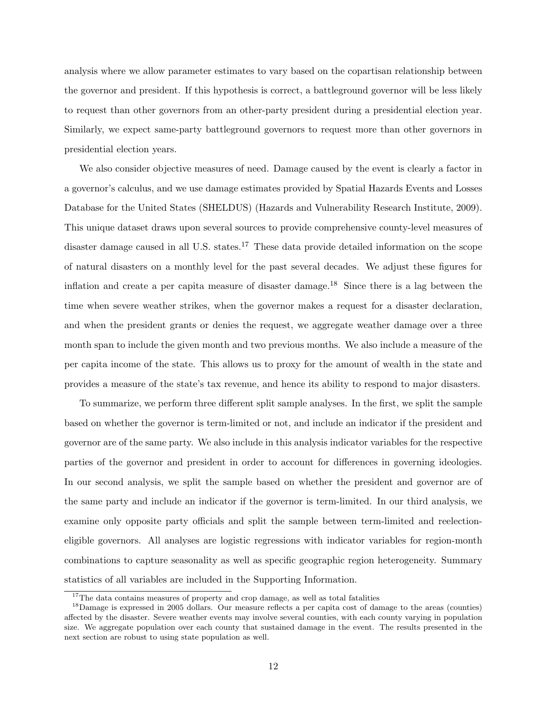analysis where we allow parameter estimates to vary based on the copartisan relationship between the governor and president. If this hypothesis is correct, a battleground governor will be less likely to request than other governors from an other-party president during a presidential election year. Similarly, we expect same-party battleground governors to request more than other governors in presidential election years.

We also consider objective measures of need. Damage caused by the event is clearly a factor in a governor's calculus, and we use damage estimates provided by Spatial Hazards Events and Losses Database for the United States (SHELDUS) (Hazards and Vulnerability Research Institute, 2009). This unique dataset draws upon several sources to provide comprehensive county-level measures of disaster damage caused in all U.S. states.<sup>17</sup> These data provide detailed information on the scope of natural disasters on a monthly level for the past several decades. We adjust these figures for inflation and create a per capita measure of disaster damage.<sup>18</sup> Since there is a lag between the time when severe weather strikes, when the governor makes a request for a disaster declaration, and when the president grants or denies the request, we aggregate weather damage over a three month span to include the given month and two previous months. We also include a measure of the per capita income of the state. This allows us to proxy for the amount of wealth in the state and provides a measure of the state's tax revenue, and hence its ability to respond to major disasters.

To summarize, we perform three different split sample analyses. In the first, we split the sample based on whether the governor is term-limited or not, and include an indicator if the president and governor are of the same party. We also include in this analysis indicator variables for the respective parties of the governor and president in order to account for differences in governing ideologies. In our second analysis, we split the sample based on whether the president and governor are of the same party and include an indicator if the governor is term-limited. In our third analysis, we examine only opposite party officials and split the sample between term-limited and reelectioneligible governors. All analyses are logistic regressions with indicator variables for region-month combinations to capture seasonality as well as specific geographic region heterogeneity. Summary statistics of all variables are included in the Supporting Information.

<sup>&</sup>lt;sup>17</sup>The data contains measures of property and crop damage, as well as total fatalities

<sup>&</sup>lt;sup>18</sup>Damage is expressed in 2005 dollars. Our measure reflects a per capita cost of damage to the areas (counties) affected by the disaster. Severe weather events may involve several counties, with each county varying in population size. We aggregate population over each county that sustained damage in the event. The results presented in the next section are robust to using state population as well.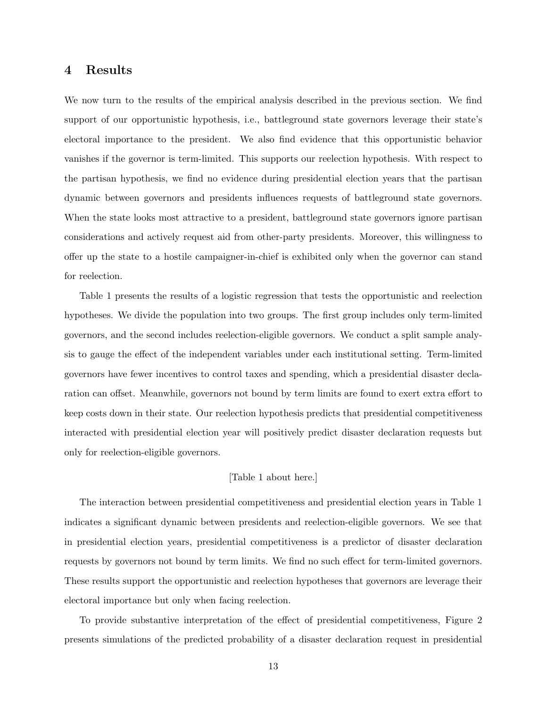## 4 Results

We now turn to the results of the empirical analysis described in the previous section. We find support of our opportunistic hypothesis, i.e., battleground state governors leverage their state's electoral importance to the president. We also find evidence that this opportunistic behavior vanishes if the governor is term-limited. This supports our reelection hypothesis. With respect to the partisan hypothesis, we find no evidence during presidential election years that the partisan dynamic between governors and presidents influences requests of battleground state governors. When the state looks most attractive to a president, battleground state governors ignore partisan considerations and actively request aid from other-party presidents. Moreover, this willingness to offer up the state to a hostile campaigner-in-chief is exhibited only when the governor can stand for reelection.

Table 1 presents the results of a logistic regression that tests the opportunistic and reelection hypotheses. We divide the population into two groups. The first group includes only term-limited governors, and the second includes reelection-eligible governors. We conduct a split sample analysis to gauge the effect of the independent variables under each institutional setting. Term-limited governors have fewer incentives to control taxes and spending, which a presidential disaster declaration can offset. Meanwhile, governors not bound by term limits are found to exert extra effort to keep costs down in their state. Our reelection hypothesis predicts that presidential competitiveness interacted with presidential election year will positively predict disaster declaration requests but only for reelection-eligible governors.

#### [Table 1 about here.]

The interaction between presidential competitiveness and presidential election years in Table 1 indicates a significant dynamic between presidents and reelection-eligible governors. We see that in presidential election years, presidential competitiveness is a predictor of disaster declaration requests by governors not bound by term limits. We find no such effect for term-limited governors. These results support the opportunistic and reelection hypotheses that governors are leverage their electoral importance but only when facing reelection.

To provide substantive interpretation of the effect of presidential competitiveness, Figure 2 presents simulations of the predicted probability of a disaster declaration request in presidential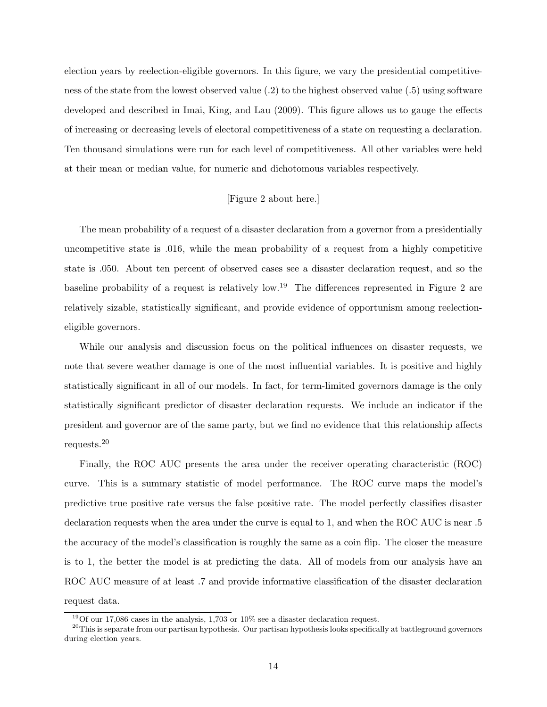election years by reelection-eligible governors. In this figure, we vary the presidential competitiveness of the state from the lowest observed value (.2) to the highest observed value (.5) using software developed and described in Imai, King, and Lau (2009). This figure allows us to gauge the effects of increasing or decreasing levels of electoral competitiveness of a state on requesting a declaration. Ten thousand simulations were run for each level of competitiveness. All other variables were held at their mean or median value, for numeric and dichotomous variables respectively.

### [Figure 2 about here.]

The mean probability of a request of a disaster declaration from a governor from a presidentially uncompetitive state is .016, while the mean probability of a request from a highly competitive state is .050. About ten percent of observed cases see a disaster declaration request, and so the baseline probability of a request is relatively low.<sup>19</sup> The differences represented in Figure 2 are relatively sizable, statistically significant, and provide evidence of opportunism among reelectioneligible governors.

While our analysis and discussion focus on the political influences on disaster requests, we note that severe weather damage is one of the most influential variables. It is positive and highly statistically significant in all of our models. In fact, for term-limited governors damage is the only statistically significant predictor of disaster declaration requests. We include an indicator if the president and governor are of the same party, but we find no evidence that this relationship affects requests.<sup>20</sup>

Finally, the ROC AUC presents the area under the receiver operating characteristic (ROC) curve. This is a summary statistic of model performance. The ROC curve maps the model's predictive true positive rate versus the false positive rate. The model perfectly classifies disaster declaration requests when the area under the curve is equal to 1, and when the ROC AUC is near .5 the accuracy of the model's classification is roughly the same as a coin flip. The closer the measure is to 1, the better the model is at predicting the data. All of models from our analysis have an ROC AUC measure of at least .7 and provide informative classification of the disaster declaration request data.

 $19$ Of our 17,086 cases in the analysis, 1,703 or 10% see a disaster declaration request.

<sup>&</sup>lt;sup>20</sup>This is separate from our partisan hypothesis. Our partisan hypothesis looks specifically at battleground governors during election years.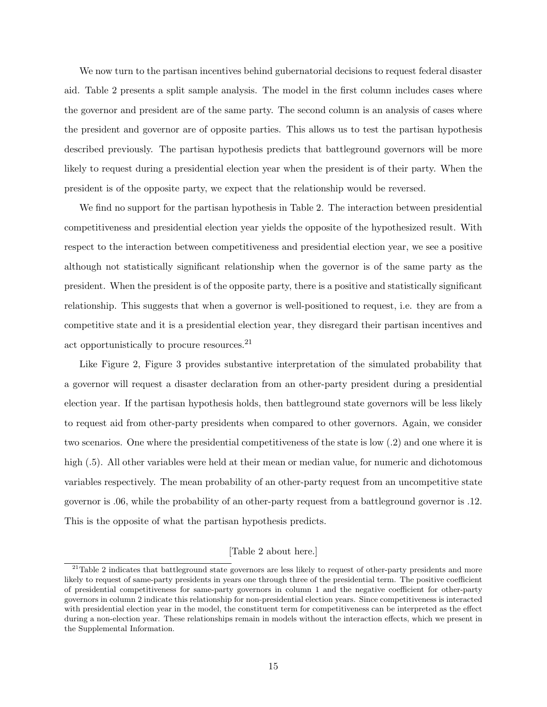We now turn to the partisan incentives behind gubernatorial decisions to request federal disaster aid. Table 2 presents a split sample analysis. The model in the first column includes cases where the governor and president are of the same party. The second column is an analysis of cases where the president and governor are of opposite parties. This allows us to test the partisan hypothesis described previously. The partisan hypothesis predicts that battleground governors will be more likely to request during a presidential election year when the president is of their party. When the president is of the opposite party, we expect that the relationship would be reversed.

We find no support for the partisan hypothesis in Table 2. The interaction between presidential competitiveness and presidential election year yields the opposite of the hypothesized result. With respect to the interaction between competitiveness and presidential election year, we see a positive although not statistically significant relationship when the governor is of the same party as the president. When the president is of the opposite party, there is a positive and statistically significant relationship. This suggests that when a governor is well-positioned to request, i.e. they are from a competitive state and it is a presidential election year, they disregard their partisan incentives and act opportunistically to procure resources.<sup>21</sup>

Like Figure 2, Figure 3 provides substantive interpretation of the simulated probability that a governor will request a disaster declaration from an other-party president during a presidential election year. If the partisan hypothesis holds, then battleground state governors will be less likely to request aid from other-party presidents when compared to other governors. Again, we consider two scenarios. One where the presidential competitiveness of the state is low (.2) and one where it is high  $(.5)$ . All other variables were held at their mean or median value, for numeric and dichotomous variables respectively. The mean probability of an other-party request from an uncompetitive state governor is .06, while the probability of an other-party request from a battleground governor is .12. This is the opposite of what the partisan hypothesis predicts.

#### [Table 2 about here.]

 $21$ Table 2 indicates that battleground state governors are less likely to request of other-party presidents and more likely to request of same-party presidents in years one through three of the presidential term. The positive coefficient of presidential competitiveness for same-party governors in column 1 and the negative coefficient for other-party governors in column 2 indicate this relationship for non-presidential election years. Since competitiveness is interacted with presidential election year in the model, the constituent term for competitiveness can be interpreted as the effect during a non-election year. These relationships remain in models without the interaction effects, which we present in the Supplemental Information.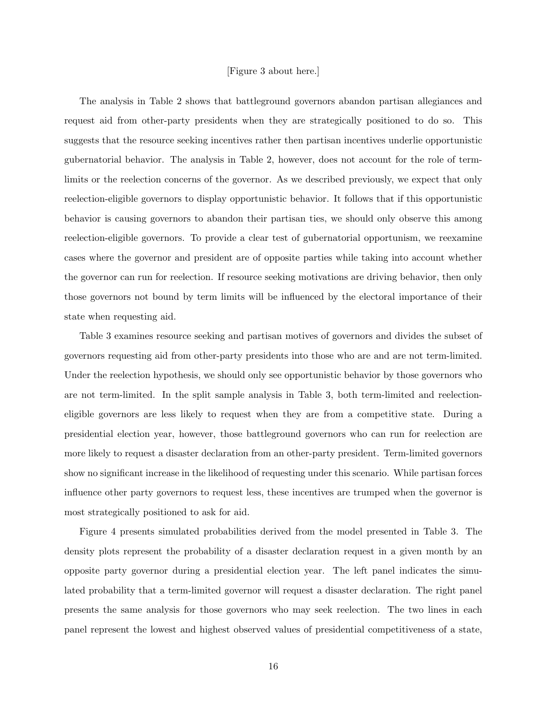#### [Figure 3 about here.]

The analysis in Table 2 shows that battleground governors abandon partisan allegiances and request aid from other-party presidents when they are strategically positioned to do so. This suggests that the resource seeking incentives rather then partisan incentives underlie opportunistic gubernatorial behavior. The analysis in Table 2, however, does not account for the role of termlimits or the reelection concerns of the governor. As we described previously, we expect that only reelection-eligible governors to display opportunistic behavior. It follows that if this opportunistic behavior is causing governors to abandon their partisan ties, we should only observe this among reelection-eligible governors. To provide a clear test of gubernatorial opportunism, we reexamine cases where the governor and president are of opposite parties while taking into account whether the governor can run for reelection. If resource seeking motivations are driving behavior, then only those governors not bound by term limits will be influenced by the electoral importance of their state when requesting aid.

Table 3 examines resource seeking and partisan motives of governors and divides the subset of governors requesting aid from other-party presidents into those who are and are not term-limited. Under the reelection hypothesis, we should only see opportunistic behavior by those governors who are not term-limited. In the split sample analysis in Table 3, both term-limited and reelectioneligible governors are less likely to request when they are from a competitive state. During a presidential election year, however, those battleground governors who can run for reelection are more likely to request a disaster declaration from an other-party president. Term-limited governors show no significant increase in the likelihood of requesting under this scenario. While partisan forces influence other party governors to request less, these incentives are trumped when the governor is most strategically positioned to ask for aid.

Figure 4 presents simulated probabilities derived from the model presented in Table 3. The density plots represent the probability of a disaster declaration request in a given month by an opposite party governor during a presidential election year. The left panel indicates the simulated probability that a term-limited governor will request a disaster declaration. The right panel presents the same analysis for those governors who may seek reelection. The two lines in each panel represent the lowest and highest observed values of presidential competitiveness of a state,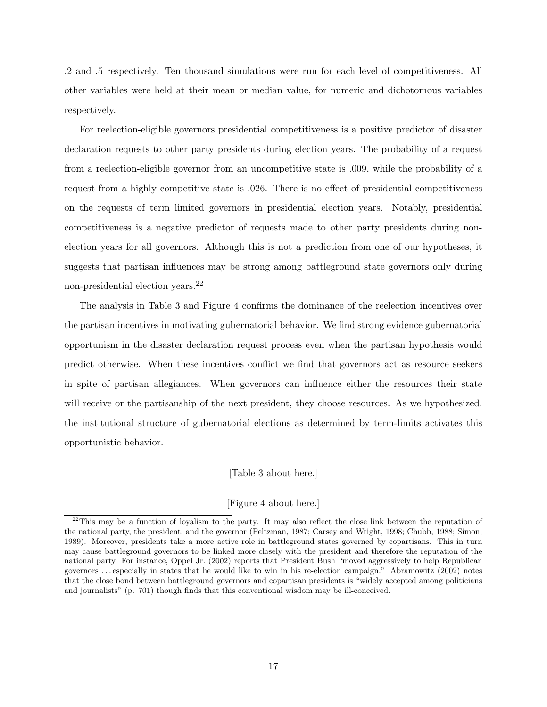.2 and .5 respectively. Ten thousand simulations were run for each level of competitiveness. All other variables were held at their mean or median value, for numeric and dichotomous variables respectively.

For reelection-eligible governors presidential competitiveness is a positive predictor of disaster declaration requests to other party presidents during election years. The probability of a request from a reelection-eligible governor from an uncompetitive state is .009, while the probability of a request from a highly competitive state is .026. There is no effect of presidential competitiveness on the requests of term limited governors in presidential election years. Notably, presidential competitiveness is a negative predictor of requests made to other party presidents during nonelection years for all governors. Although this is not a prediction from one of our hypotheses, it suggests that partisan influences may be strong among battleground state governors only during non-presidential election years.<sup>22</sup>

The analysis in Table 3 and Figure 4 confirms the dominance of the reelection incentives over the partisan incentives in motivating gubernatorial behavior. We find strong evidence gubernatorial opportunism in the disaster declaration request process even when the partisan hypothesis would predict otherwise. When these incentives conflict we find that governors act as resource seekers in spite of partisan allegiances. When governors can influence either the resources their state will receive or the partisanship of the next president, they choose resources. As we hypothesized, the institutional structure of gubernatorial elections as determined by term-limits activates this opportunistic behavior.

[Table 3 about here.]

[Figure 4 about here.]

 $^{22}$ This may be a function of loyalism to the party. It may also reflect the close link between the reputation of the national party, the president, and the governor (Peltzman, 1987; Carsey and Wright, 1998; Chubb, 1988; Simon, 1989). Moreover, presidents take a more active role in battleground states governed by copartisans. This in turn may cause battleground governors to be linked more closely with the president and therefore the reputation of the national party. For instance, Oppel Jr. (2002) reports that President Bush "moved aggressively to help Republican governors . . . especially in states that he would like to win in his re-election campaign." Abramowitz (2002) notes that the close bond between battleground governors and copartisan presidents is "widely accepted among politicians and journalists" (p. 701) though finds that this conventional wisdom may be ill-conceived.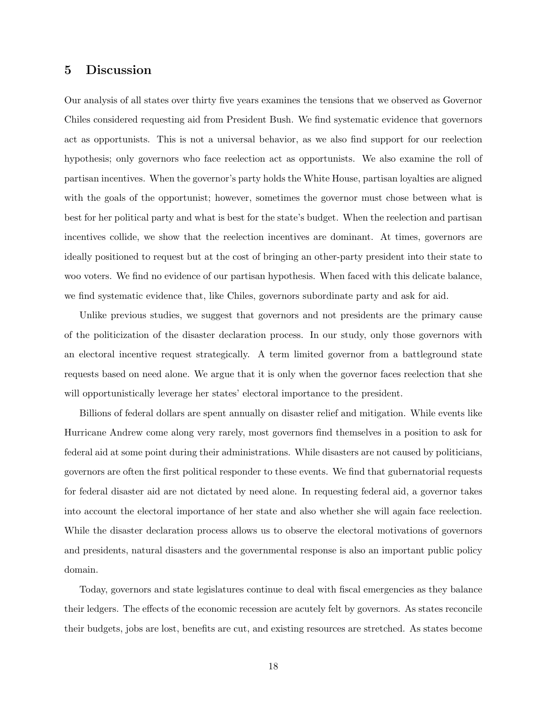## 5 Discussion

Our analysis of all states over thirty five years examines the tensions that we observed as Governor Chiles considered requesting aid from President Bush. We find systematic evidence that governors act as opportunists. This is not a universal behavior, as we also find support for our reelection hypothesis; only governors who face reelection act as opportunists. We also examine the roll of partisan incentives. When the governor's party holds the White House, partisan loyalties are aligned with the goals of the opportunist; however, sometimes the governor must chose between what is best for her political party and what is best for the state's budget. When the reelection and partisan incentives collide, we show that the reelection incentives are dominant. At times, governors are ideally positioned to request but at the cost of bringing an other-party president into their state to woo voters. We find no evidence of our partisan hypothesis. When faced with this delicate balance, we find systematic evidence that, like Chiles, governors subordinate party and ask for aid.

Unlike previous studies, we suggest that governors and not presidents are the primary cause of the politicization of the disaster declaration process. In our study, only those governors with an electoral incentive request strategically. A term limited governor from a battleground state requests based on need alone. We argue that it is only when the governor faces reelection that she will opportunistically leverage her states' electoral importance to the president.

Billions of federal dollars are spent annually on disaster relief and mitigation. While events like Hurricane Andrew come along very rarely, most governors find themselves in a position to ask for federal aid at some point during their administrations. While disasters are not caused by politicians, governors are often the first political responder to these events. We find that gubernatorial requests for federal disaster aid are not dictated by need alone. In requesting federal aid, a governor takes into account the electoral importance of her state and also whether she will again face reelection. While the disaster declaration process allows us to observe the electoral motivations of governors and presidents, natural disasters and the governmental response is also an important public policy domain.

Today, governors and state legislatures continue to deal with fiscal emergencies as they balance their ledgers. The effects of the economic recession are acutely felt by governors. As states reconcile their budgets, jobs are lost, benefits are cut, and existing resources are stretched. As states become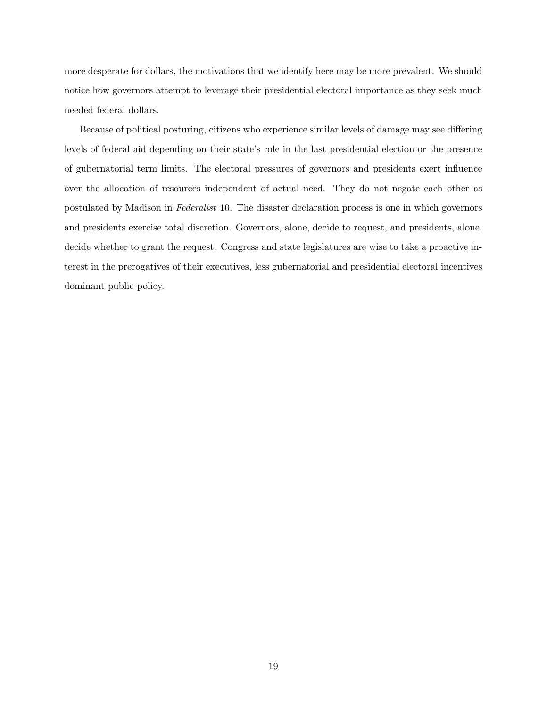more desperate for dollars, the motivations that we identify here may be more prevalent. We should notice how governors attempt to leverage their presidential electoral importance as they seek much needed federal dollars.

Because of political posturing, citizens who experience similar levels of damage may see differing levels of federal aid depending on their state's role in the last presidential election or the presence of gubernatorial term limits. The electoral pressures of governors and presidents exert influence over the allocation of resources independent of actual need. They do not negate each other as postulated by Madison in Federalist 10. The disaster declaration process is one in which governors and presidents exercise total discretion. Governors, alone, decide to request, and presidents, alone, decide whether to grant the request. Congress and state legislatures are wise to take a proactive interest in the prerogatives of their executives, less gubernatorial and presidential electoral incentives dominant public policy.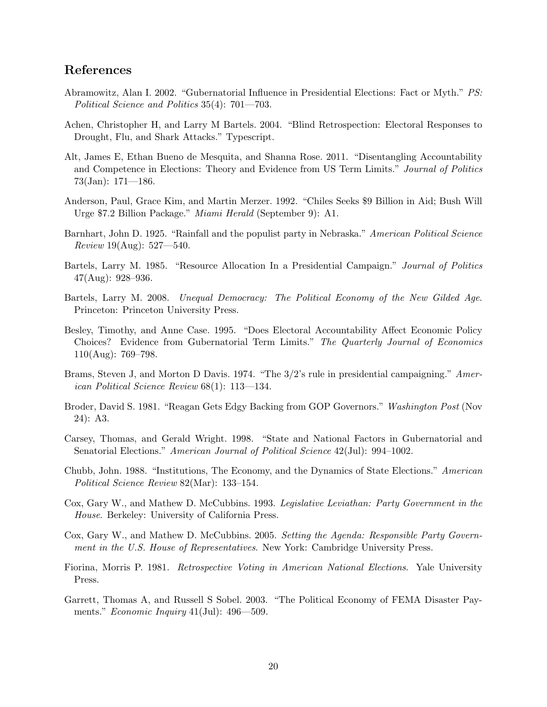## References

- Abramowitz, Alan I. 2002. "Gubernatorial Influence in Presidential Elections: Fact or Myth." PS: Political Science and Politics 35(4): 701—703.
- Achen, Christopher H, and Larry M Bartels. 2004. "Blind Retrospection: Electoral Responses to Drought, Flu, and Shark Attacks." Typescript.
- Alt, James E, Ethan Bueno de Mesquita, and Shanna Rose. 2011. "Disentangling Accountability and Competence in Elections: Theory and Evidence from US Term Limits." Journal of Politics 73(Jan): 171—186.
- Anderson, Paul, Grace Kim, and Martin Merzer. 1992. "Chiles Seeks \$9 Billion in Aid; Bush Will Urge \$7.2 Billion Package." Miami Herald (September 9): A1.
- Barnhart, John D. 1925. "Rainfall and the populist party in Nebraska." American Political Science *Review* 19(Aug):  $527 - 540$ .
- Bartels, Larry M. 1985. "Resource Allocation In a Presidential Campaign." Journal of Politics  $47(Aug): 928-936.$
- Bartels, Larry M. 2008. Unequal Democracy: The Political Economy of the New Gilded Age. Princeton: Princeton University Press.
- Besley, Timothy, and Anne Case. 1995. "Does Electoral Accountability Affect Economic Policy Choices? Evidence from Gubernatorial Term Limits." The Quarterly Journal of Economics  $110(Aug): 769-798.$
- Brams, Steven J, and Morton D Davis. 1974. "The 3/2's rule in presidential campaigning." American Political Science Review 68(1): 113—134.
- Broder, David S. 1981. "Reagan Gets Edgy Backing from GOP Governors." Washington Post (Nov 24): A3.
- Carsey, Thomas, and Gerald Wright. 1998. "State and National Factors in Gubernatorial and Senatorial Elections." American Journal of Political Science 42(Jul): 994–1002.
- Chubb, John. 1988. "Institutions, The Economy, and the Dynamics of State Elections." American Political Science Review 82(Mar): 133–154.
- Cox, Gary W., and Mathew D. McCubbins. 1993. Legislative Leviathan: Party Government in the House. Berkeley: University of California Press.
- Cox, Gary W., and Mathew D. McCubbins. 2005. Setting the Agenda: Responsible Party Government in the U.S. House of Representatives. New York: Cambridge University Press.
- Fiorina, Morris P. 1981. Retrospective Voting in American National Elections. Yale University Press.
- Garrett, Thomas A, and Russell S Sobel. 2003. "The Political Economy of FEMA Disaster Payments." *Economic Inquiry* 41(Jul): 496—509.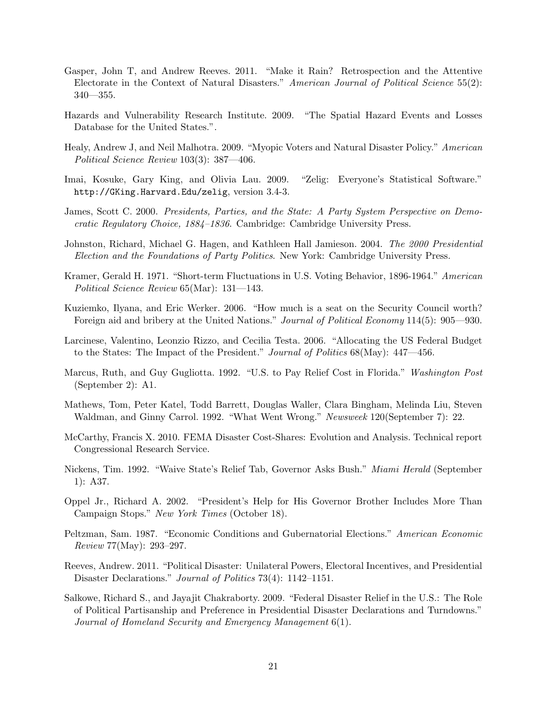- Gasper, John T, and Andrew Reeves. 2011. "Make it Rain? Retrospection and the Attentive Electorate in the Context of Natural Disasters." American Journal of Political Science 55(2):  $340 - 355$ .
- Hazards and Vulnerability Research Institute. 2009. "The Spatial Hazard Events and Losses Database for the United States.".
- Healy, Andrew J, and Neil Malhotra. 2009. "Myopic Voters and Natural Disaster Policy." American Political Science Review 103(3): 387—406.
- Imai, Kosuke, Gary King, and Olivia Lau. 2009. "Zelig: Everyone's Statistical Software." http://GKing.Harvard.Edu/zelig, version 3.4-3.
- James, Scott C. 2000. Presidents, Parties, and the State: A Party System Perspective on Democratic Regulatory Choice, 1884–1836. Cambridge: Cambridge University Press.
- Johnston, Richard, Michael G. Hagen, and Kathleen Hall Jamieson. 2004. The 2000 Presidential Election and the Foundations of Party Politics. New York: Cambridge University Press.
- Kramer, Gerald H. 1971. "Short-term Fluctuations in U.S. Voting Behavior, 1896-1964." American Political Science Review 65(Mar): 131—143.
- Kuziemko, Ilyana, and Eric Werker. 2006. "How much is a seat on the Security Council worth? Foreign aid and bribery at the United Nations." *Journal of Political Economy* 114(5): 905—930.
- Larcinese, Valentino, Leonzio Rizzo, and Cecilia Testa. 2006. "Allocating the US Federal Budget to the States: The Impact of the President." Journal of Politics 68(May): 447—456.
- Marcus, Ruth, and Guy Gugliotta. 1992. "U.S. to Pay Relief Cost in Florida." Washington Post (September 2): A1.
- Mathews, Tom, Peter Katel, Todd Barrett, Douglas Waller, Clara Bingham, Melinda Liu, Steven Waldman, and Ginny Carrol. 1992. "What Went Wrong." Newsweek 120(September 7): 22.
- McCarthy, Francis X. 2010. FEMA Disaster Cost-Shares: Evolution and Analysis. Technical report Congressional Research Service.
- Nickens, Tim. 1992. "Waive State's Relief Tab, Governor Asks Bush." Miami Herald (September 1): A37.
- Oppel Jr., Richard A. 2002. "President's Help for His Governor Brother Includes More Than Campaign Stops." New York Times (October 18).
- Peltzman, Sam. 1987. "Economic Conditions and Gubernatorial Elections." American Economic Review 77(May): 293–297.
- Reeves, Andrew. 2011. "Political Disaster: Unilateral Powers, Electoral Incentives, and Presidential Disaster Declarations." *Journal of Politics* 73(4): 1142–1151.
- Salkowe, Richard S., and Jayajit Chakraborty. 2009. "Federal Disaster Relief in the U.S.: The Role of Political Partisanship and Preference in Presidential Disaster Declarations and Turndowns." Journal of Homeland Security and Emergency Management 6(1).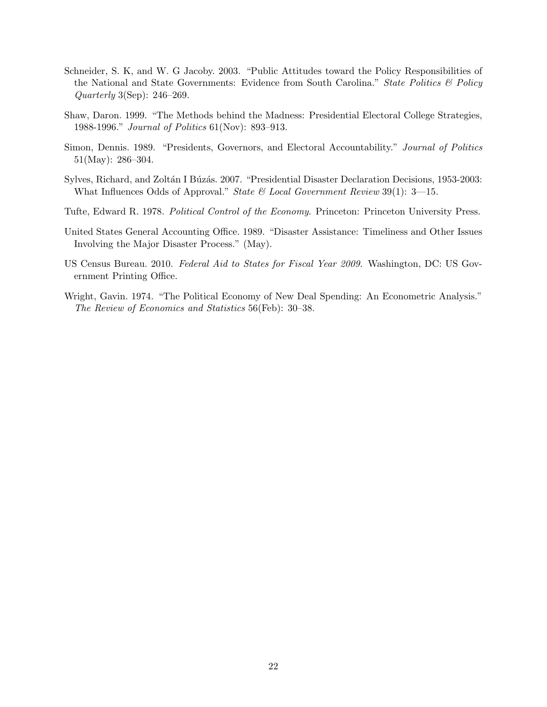- Schneider, S. K, and W. G Jacoby. 2003. "Public Attitudes toward the Policy Responsibilities of the National and State Governments: Evidence from South Carolina." State Politics  $\mathcal{B}$  Policy Quarterly 3(Sep): 246–269.
- Shaw, Daron. 1999. "The Methods behind the Madness: Presidential Electoral College Strategies, 1988-1996." Journal of Politics 61(Nov): 893–913.
- Simon, Dennis. 1989. "Presidents, Governors, and Electoral Accountability." Journal of Politics 51(May): 286–304.
- Sylves, Richard, and Zoltán I Búzás. 2007. "Presidential Disaster Declaration Decisions, 1953-2003: What Influences Odds of Approval." State  $\mathcal{B}$  Local Government Review 39(1): 3-15.
- Tufte, Edward R. 1978. Political Control of the Economy. Princeton: Princeton University Press.
- United States General Accounting Office. 1989. "Disaster Assistance: Timeliness and Other Issues Involving the Major Disaster Process." (May).
- US Census Bureau. 2010. Federal Aid to States for Fiscal Year 2009. Washington, DC: US Government Printing Office.
- Wright, Gavin. 1974. "The Political Economy of New Deal Spending: An Econometric Analysis." The Review of Economics and Statistics 56(Feb): 30–38.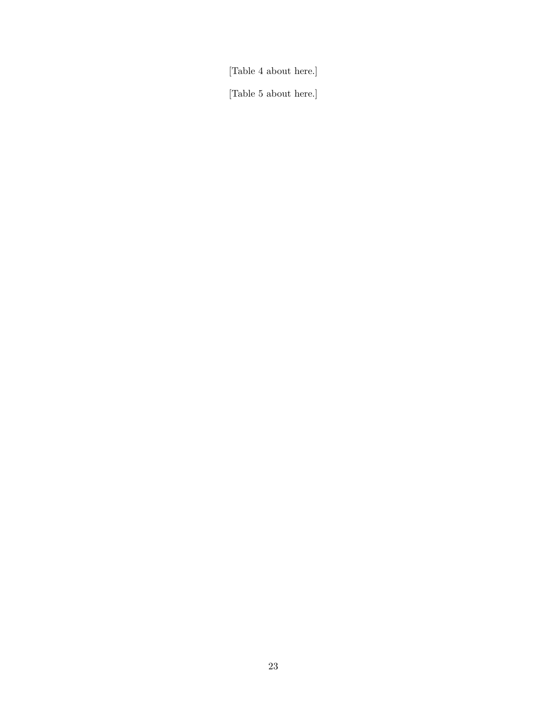[Table 4 about here.]

[Table 5 about here.]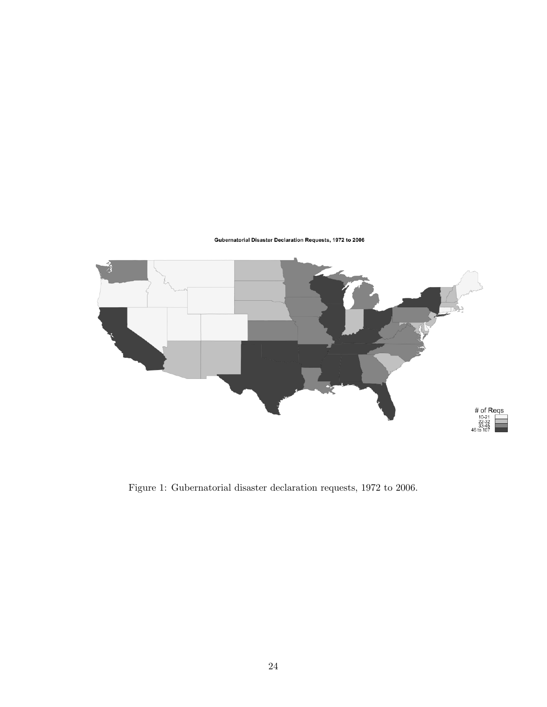Gubernatorial Disaster Declaration Requests, 1972 to 2006



Figure 1: Gubernatorial disaster declaration requests, 1972 to 2006.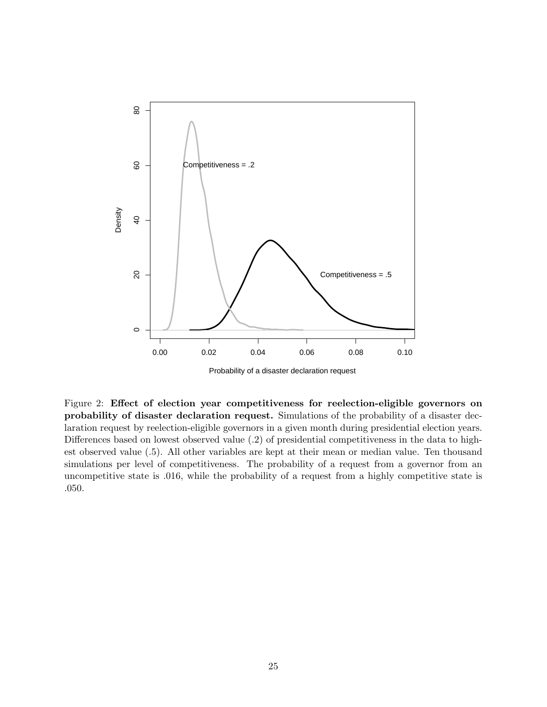

Probability of a disaster declaration request

Figure 2: Effect of election year competitiveness for reelection-eligible governors on probability of disaster declaration request. Simulations of the probability of a disaster declaration request by reelection-eligible governors in a given month during presidential election years. Differences based on lowest observed value (.2) of presidential competitiveness in the data to highest observed value (.5). All other variables are kept at their mean or median value. Ten thousand simulations per level of competitiveness. The probability of a request from a governor from an uncompetitive state is .016, while the probability of a request from a highly competitive state is .050.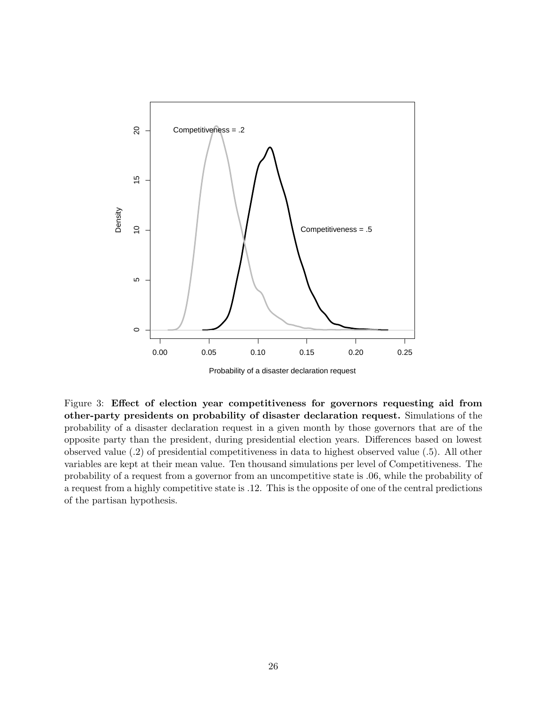

Probability of a disaster declaration request

Figure 3: Effect of election year competitiveness for governors requesting aid from other-party presidents on probability of disaster declaration request. Simulations of the probability of a disaster declaration request in a given month by those governors that are of the opposite party than the president, during presidential election years. Differences based on lowest observed value (.2) of presidential competitiveness in data to highest observed value (.5). All other variables are kept at their mean value. Ten thousand simulations per level of Competitiveness. The probability of a request from a governor from an uncompetitive state is .06, while the probability of a request from a highly competitive state is .12. This is the opposite of one of the central predictions of the partisan hypothesis.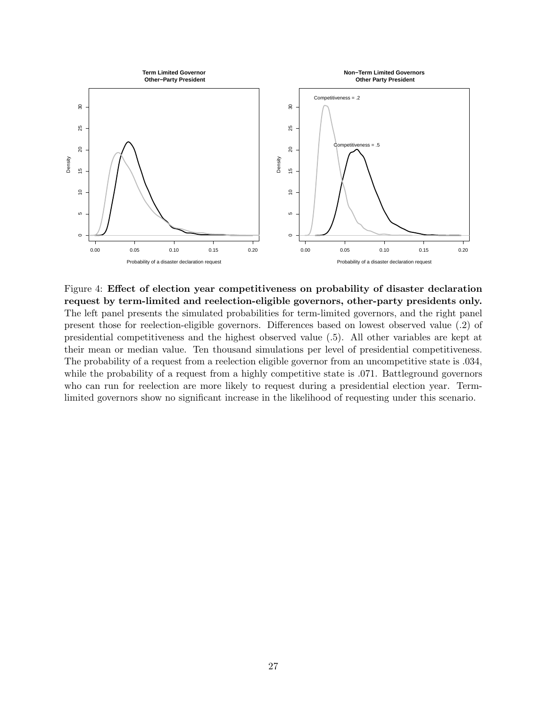

Figure 4: Effect of election year competitiveness on probability of disaster declaration request by term-limited and reelection-eligible governors, other-party presidents only. The left panel presents the simulated probabilities for term-limited governors, and the right panel present those for reelection-eligible governors. Differences based on lowest observed value (.2) of presidential competitiveness and the highest observed value (.5). All other variables are kept at their mean or median value. Ten thousand simulations per level of presidential competitiveness. The probability of a request from a reelection eligible governor from an uncompetitive state is .034, while the probability of a request from a highly competitive state is .071. Battleground governors who can run for reelection are more likely to request during a presidential election year. Termlimited governors show no significant increase in the likelihood of requesting under this scenario.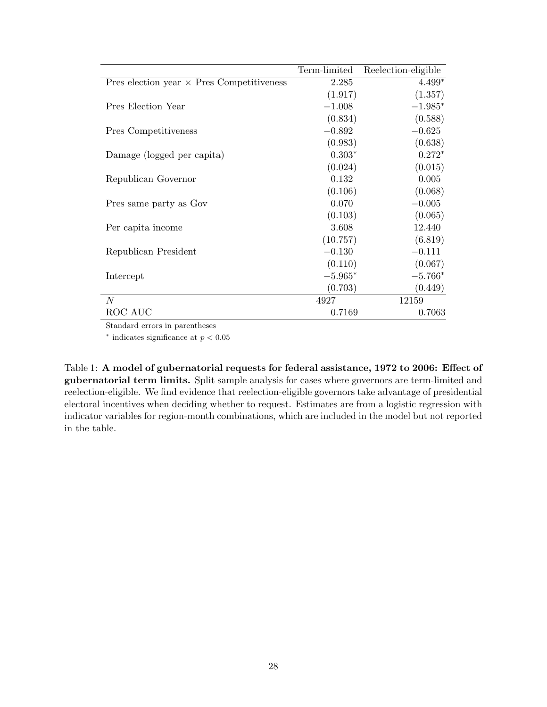|                                                  | Term-limited | Reelection-eligible |
|--------------------------------------------------|--------------|---------------------|
| Pres election year $\times$ Pres Competitiveness | 2.285        | $4.499*$            |
|                                                  | (1.917)      | (1.357)             |
| Pres Election Year                               | $-1.008$     | $-1.985*$           |
|                                                  | (0.834)      | (0.588)             |
| Pres Competitiveness                             | $-0.892$     | $-0.625$            |
|                                                  | (0.983)      | (0.638)             |
| Damage (logged per capita)                       | $0.303*$     | $0.272*$            |
|                                                  | (0.024)      | (0.015)             |
| Republican Governor                              | 0.132        | 0.005               |
|                                                  | (0.106)      | (0.068)             |
| Pres same party as Gov                           | 0.070        | $-0.005$            |
|                                                  | (0.103)      | (0.065)             |
| Per capita income                                | 3.608        | 12.440              |
|                                                  | (10.757)     | (6.819)             |
| Republican President                             | $-0.130$     | $-0.111$            |
|                                                  | (0.110)      | (0.067)             |
| Intercept                                        | $-5.965*$    | $-5.766*$           |
|                                                  | (0.703)      | (0.449)             |
| $\overline{N}$                                   | 4927         | 12159               |
| ROC AUC                                          | 0.7169       | 0.7063              |

Standard errors in parentheses

 $*$  indicates significance at  $p < 0.05$ 

Table 1: A model of gubernatorial requests for federal assistance, 1972 to 2006: Effect of gubernatorial term limits. Split sample analysis for cases where governors are term-limited and reelection-eligible. We find evidence that reelection-eligible governors take advantage of presidential electoral incentives when deciding whether to request. Estimates are from a logistic regression with indicator variables for region-month combinations, which are included in the model but not reported in the table.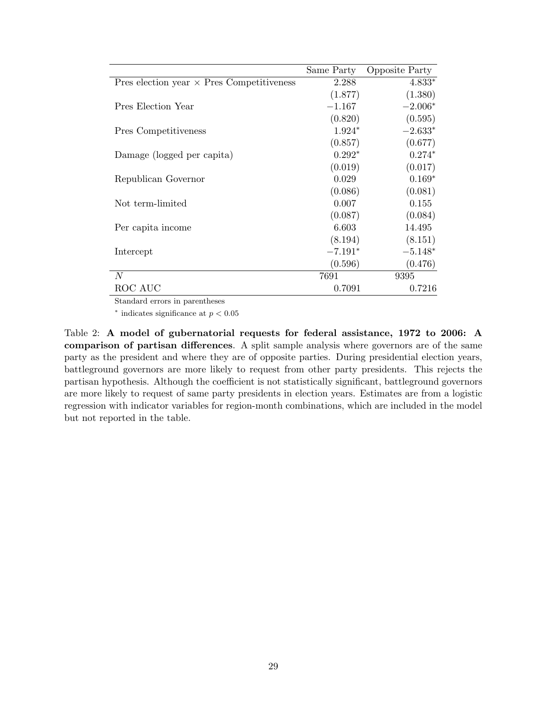|                                                  | Same Party | <b>Opposite Party</b> |
|--------------------------------------------------|------------|-----------------------|
| Pres election year $\times$ Pres Competitiveness | 2.288      | $4.833*$              |
|                                                  | (1.877)    | (1.380)               |
| Pres Election Year                               | $-1.167$   | $-2.006*$             |
|                                                  | (0.820)    | (0.595)               |
| Pres Competitiveness                             | $1.924*$   | $-2.633*$             |
|                                                  | (0.857)    | (0.677)               |
| Damage (logged per capita)                       | $0.292*$   | $0.274*$              |
|                                                  | (0.019)    | (0.017)               |
| Republican Governor                              | 0.029      | $0.169*$              |
|                                                  | (0.086)    | (0.081)               |
| Not term-limited                                 | 0.007      | 0.155                 |
|                                                  | (0.087)    | (0.084)               |
| Per capita income                                | 6.603      | 14.495                |
|                                                  | (8.194)    | (8.151)               |
| Intercept                                        | $-7.191*$  | $-5.148*$             |
|                                                  | (0.596)    | (0.476)               |
| $\overline{N}$                                   | 7691       | 9395                  |
| ROC AUC                                          | 0.7091     | 0.7216                |

Standard errors in parentheses

 $*$  indicates significance at  $p < 0.05$ 

Table 2: A model of gubernatorial requests for federal assistance, 1972 to 2006: A comparison of partisan differences. A split sample analysis where governors are of the same party as the president and where they are of opposite parties. During presidential election years, battleground governors are more likely to request from other party presidents. This rejects the partisan hypothesis. Although the coefficient is not statistically significant, battleground governors are more likely to request of same party presidents in election years. Estimates are from a logistic regression with indicator variables for region-month combinations, which are included in the model but not reported in the table.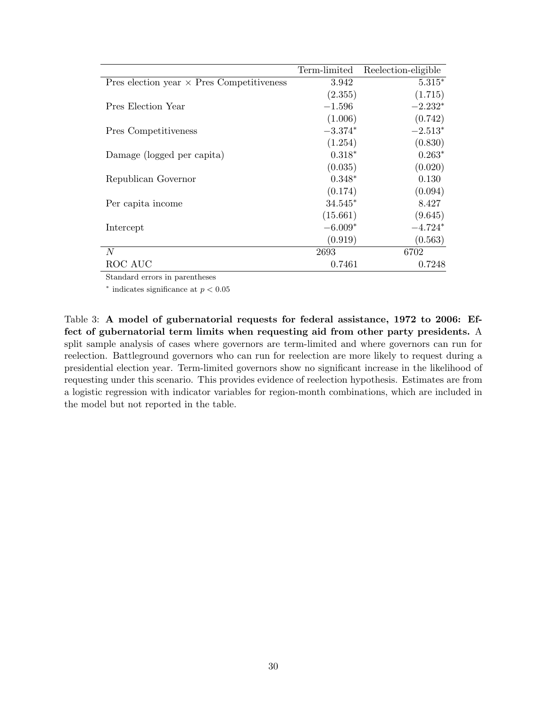|                                                  | Term-limited | Reelection-eligible |
|--------------------------------------------------|--------------|---------------------|
| Pres election year $\times$ Pres Competitiveness | 3.942        | $5.315*$            |
|                                                  | (2.355)      | (1.715)             |
| Pres Election Year                               | $-1.596$     | $-2.232*$           |
|                                                  | (1.006)      | (0.742)             |
| Pres Competitiveness                             | $-3.374*$    | $-2.513*$           |
|                                                  | (1.254)      | (0.830)             |
| Damage (logged per capita)                       | $0.318*$     | $0.263*$            |
|                                                  | (0.035)      | (0.020)             |
| Republican Governor                              | $0.348*$     | 0.130               |
|                                                  | (0.174)      | (0.094)             |
| Per capita income                                | $34.545*$    | 8.427               |
|                                                  | (15.661)     | (9.645)             |
| Intercept                                        | $-6.009*$    | $-4.724*$           |
|                                                  | (0.919)      | (0.563)             |
| N                                                | 2693         | 6702                |
| ROC AUC                                          | 0.7461       | 0.7248              |

Standard errors in parentheses

 $*$  indicates significance at  $p < 0.05$ 

Table 3: A model of gubernatorial requests for federal assistance, 1972 to 2006: Effect of gubernatorial term limits when requesting aid from other party presidents. A split sample analysis of cases where governors are term-limited and where governors can run for reelection. Battleground governors who can run for reelection are more likely to request during a presidential election year. Term-limited governors show no significant increase in the likelihood of requesting under this scenario. This provides evidence of reelection hypothesis. Estimates are from a logistic regression with indicator variables for region-month combinations, which are included in the model but not reported in the table.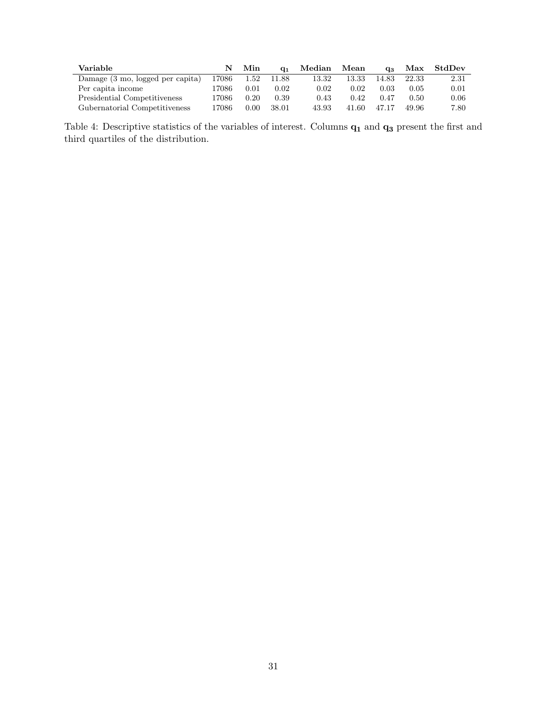| Variable                         | N     | Min  | $Q_1$ | Median | Mean  | $Q_{3}$ |       | Max StdDev |
|----------------------------------|-------|------|-------|--------|-------|---------|-------|------------|
| Damage (3 mo, logged per capita) | 17086 | 1.52 | 11.88 | 13.32  | 13.33 | 14.83   | 22.33 | 2.31       |
| Per capita income                | 17086 | 0.01 | 0.02  | 0.02   | 0.02  | 0.03    | 0.05  | 0.01       |
| Presidential Competitiveness     | 17086 | 0.20 | 0.39  | 0.43   | 0.42  | 0.47    | 0.50  | 0.06       |
| Gubernatorial Competitiveness    | 17086 | 0.00 | 38.01 | 43.93  | 41.60 | 47.17   | 49.96 | 7.80       |

Table 4: Descriptive statistics of the variables of interest. Columns  $\mathbf{q}_1$  and  $\mathbf{q}_3$  present the first and third quartiles of the distribution.